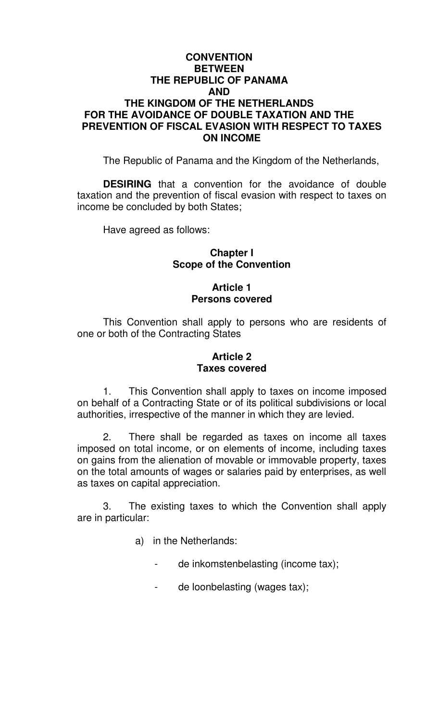## **CONVENTION BETWEEN THE REPUBLIC OF PANAMA AND THE KINGDOM OF THE NETHERLANDS FOR THE AVOIDANCE OF DOUBLE TAXATION AND THE PREVENTION OF FISCAL EVASION WITH RESPECT TO TAXES ON INCOME**

The Republic of Panama and the Kingdom of the Netherlands,

**DESIRING** that a convention for the avoidance of double taxation and the prevention of fiscal evasion with respect to taxes on income be concluded by both States;

Have agreed as follows:

## **Chapter I Scope of the Convention**

# **Article 1 Persons covered**

This Convention shall apply to persons who are residents of one or both of the Contracting States

# **Article 2 Taxes covered**

1. This Convention shall apply to taxes on income imposed on behalf of a Contracting State or of its political subdivisions or local authorities, irrespective of the manner in which they are levied.

2. There shall be regarded as taxes on income all taxes imposed on total income, or on elements of income, including taxes on gains from the alienation of movable or immovable property, taxes on the total amounts of wages or salaries paid by enterprises, as well as taxes on capital appreciation.

3. The existing taxes to which the Convention shall apply are in particular:

- a) in the Netherlands:
	- de inkomstenbelasting (income tax);
	- de loonbelasting (wages tax);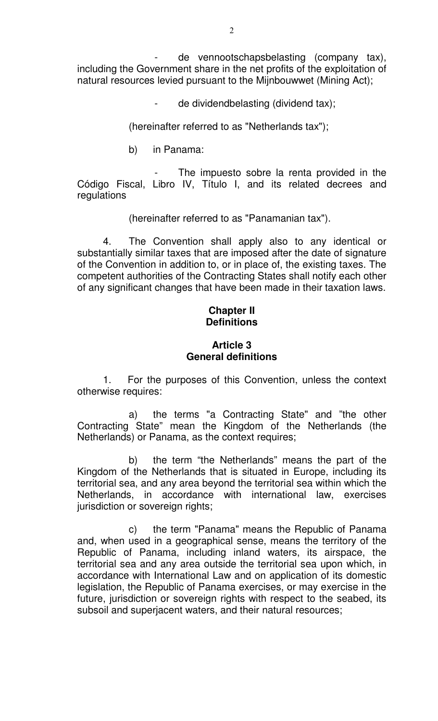de vennootschapsbelasting (company tax), including the Government share in the net profits of the exploitation of natural resources levied pursuant to the Mijnbouwwet (Mining Act);

de dividendbelasting (dividend tax);

(hereinafter referred to as "Netherlands tax");

b) in Panama:

The impuesto sobre la renta provided in the Código Fiscal, Libro IV, Título I, and its related decrees and regulations

(hereinafter referred to as "Panamanian tax").

4. The Convention shall apply also to any identical or substantially similar taxes that are imposed after the date of signature of the Convention in addition to, or in place of, the existing taxes. The competent authorities of the Contracting States shall notify each other of any significant changes that have been made in their taxation laws.

# **Chapter II Definitions**

## **Article 3 General definitions**

1. For the purposes of this Convention, unless the context otherwise requires:

a) the terms "a Contracting State" and "the other Contracting State" mean the Kingdom of the Netherlands (the Netherlands) or Panama, as the context requires;

b) the term "the Netherlands" means the part of the Kingdom of the Netherlands that is situated in Europe, including its territorial sea, and any area beyond the territorial sea within which the Netherlands, in accordance with international law, exercises jurisdiction or sovereign rights;

c) the term "Panama" means the Republic of Panama and, when used in a geographical sense, means the territory of the Republic of Panama, including inland waters, its airspace, the territorial sea and any area outside the territorial sea upon which, in accordance with International Law and on application of its domestic legislation, the Republic of Panama exercises, or may exercise in the future, jurisdiction or sovereign rights with respect to the seabed, its subsoil and superjacent waters, and their natural resources;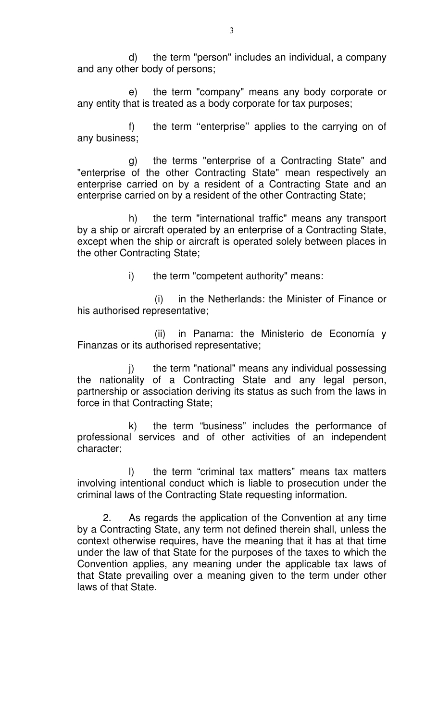d) the term "person" includes an individual, a company and any other body of persons;

e) the term "company" means any body corporate or any entity that is treated as a body corporate for tax purposes;

f) the term "enterprise" applies to the carrying on of any business;

g) the terms "enterprise of a Contracting State" and "enterprise of the other Contracting State" mean respectively an enterprise carried on by a resident of a Contracting State and an enterprise carried on by a resident of the other Contracting State;

h) the term "international traffic" means any transport by a ship or aircraft operated by an enterprise of a Contracting State, except when the ship or aircraft is operated solely between places in the other Contracting State;

i) the term "competent authority" means:

(i) in the Netherlands: the Minister of Finance or his authorised representative;

(ii) in Panama: the Ministerio de Economía y Finanzas or its authorised representative;

j) the term "national" means any individual possessing the nationality of a Contracting State and any legal person, partnership or association deriving its status as such from the laws in force in that Contracting State;

k) the term "business" includes the performance of professional services and of other activities of an independent character;

l) the term "criminal tax matters" means tax matters involving intentional conduct which is liable to prosecution under the criminal laws of the Contracting State requesting information.

2. As regards the application of the Convention at any time by a Contracting State, any term not defined therein shall, unless the context otherwise requires, have the meaning that it has at that time under the law of that State for the purposes of the taxes to which the Convention applies, any meaning under the applicable tax laws of that State prevailing over a meaning given to the term under other laws of that State.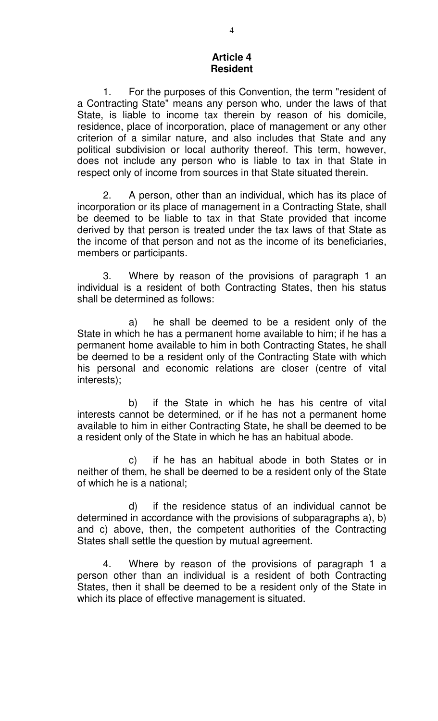#### **Article 4 Resident**

1. For the purposes of this Convention, the term "resident of a Contracting State" means any person who, under the laws of that State, is liable to income tax therein by reason of his domicile, residence, place of incorporation, place of management or any other criterion of a similar nature, and also includes that State and any political subdivision or local authority thereof. This term, however, does not include any person who is liable to tax in that State in respect only of income from sources in that State situated therein.

2. A person, other than an individual, which has its place of incorporation or its place of management in a Contracting State, shall be deemed to be liable to tax in that State provided that income derived by that person is treated under the tax laws of that State as the income of that person and not as the income of its beneficiaries, members or participants.

3. Where by reason of the provisions of paragraph 1 an individual is a resident of both Contracting States, then his status shall be determined as follows:

a) he shall be deemed to be a resident only of the State in which he has a permanent home available to him; if he has a permanent home available to him in both Contracting States, he shall be deemed to be a resident only of the Contracting State with which his personal and economic relations are closer (centre of vital interests);

b) if the State in which he has his centre of vital interests cannot be determined, or if he has not a permanent home available to him in either Contracting State, he shall be deemed to be a resident only of the State in which he has an habitual abode.

c) if he has an habitual abode in both States or in neither of them, he shall be deemed to be a resident only of the State of which he is a national;

d) if the residence status of an individual cannot be determined in accordance with the provisions of subparagraphs a), b) and c) above, then, the competent authorities of the Contracting States shall settle the question by mutual agreement.

4. Where by reason of the provisions of paragraph 1 a person other than an individual is a resident of both Contracting States, then it shall be deemed to be a resident only of the State in which its place of effective management is situated.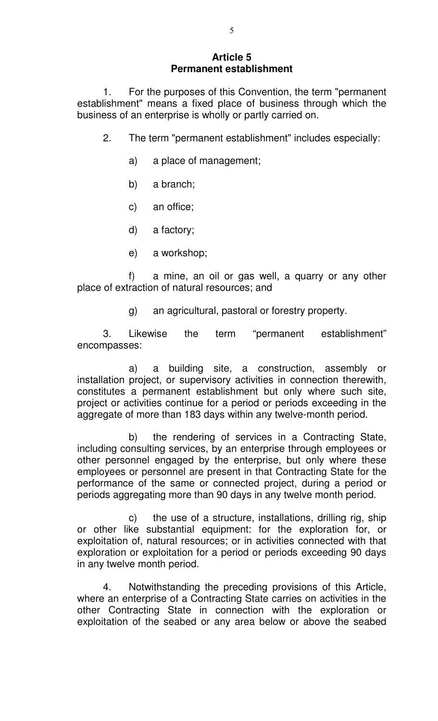# **Article 5 Permanent establishment**

1. For the purposes of this Convention, the term "permanent establishment" means a fixed place of business through which the business of an enterprise is wholly or partly carried on.

- 2. The term "permanent establishment" includes especially:
	- a) a place of management;
	- b) a branch;
	- c) an office;
	- d) a factory;
	- e) a workshop;

f) a mine, an oil or gas well, a quarry or any other place of extraction of natural resources; and

g) an agricultural, pastoral or forestry property.

3. Likewise the term "permanent establishment" encompasses:

a) a building site, a construction, assembly or installation project, or supervisory activities in connection therewith, constitutes a permanent establishment but only where such site, project or activities continue for a period or periods exceeding in the aggregate of more than 183 days within any twelve-month period.

b) the rendering of services in a Contracting State, including consulting services, by an enterprise through employees or other personnel engaged by the enterprise, but only where these employees or personnel are present in that Contracting State for the performance of the same or connected project, during a period or periods aggregating more than 90 days in any twelve month period.

c) the use of a structure, installations, drilling rig, ship or other like substantial equipment: for the exploration for, or exploitation of, natural resources; or in activities connected with that exploration or exploitation for a period or periods exceeding 90 days in any twelve month period.

4. Notwithstanding the preceding provisions of this Article, where an enterprise of a Contracting State carries on activities in the other Contracting State in connection with the exploration or exploitation of the seabed or any area below or above the seabed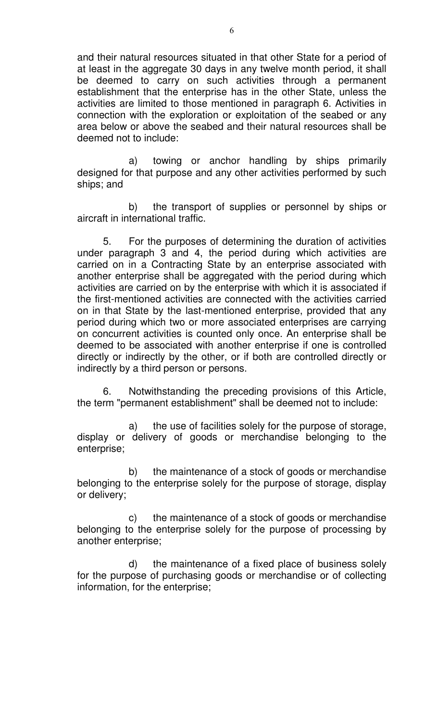and their natural resources situated in that other State for a period of at least in the aggregate 30 days in any twelve month period, it shall be deemed to carry on such activities through a permanent establishment that the enterprise has in the other State, unless the activities are limited to those mentioned in paragraph 6. Activities in connection with the exploration or exploitation of the seabed or any area below or above the seabed and their natural resources shall be deemed not to include:

a) towing or anchor handling by ships primarily designed for that purpose and any other activities performed by such ships; and

b) the transport of supplies or personnel by ships or aircraft in international traffic.

5. For the purposes of determining the duration of activities under paragraph 3 and 4, the period during which activities are carried on in a Contracting State by an enterprise associated with another enterprise shall be aggregated with the period during which activities are carried on by the enterprise with which it is associated if the first-mentioned activities are connected with the activities carried on in that State by the last-mentioned enterprise, provided that any period during which two or more associated enterprises are carrying on concurrent activities is counted only once. An enterprise shall be deemed to be associated with another enterprise if one is controlled directly or indirectly by the other, or if both are controlled directly or indirectly by a third person or persons.

6. Notwithstanding the preceding provisions of this Article, the term "permanent establishment" shall be deemed not to include:

a) the use of facilities solely for the purpose of storage, display or delivery of goods or merchandise belonging to the enterprise;

b) the maintenance of a stock of goods or merchandise belonging to the enterprise solely for the purpose of storage, display or delivery;

c) the maintenance of a stock of goods or merchandise belonging to the enterprise solely for the purpose of processing by another enterprise;

d) the maintenance of a fixed place of business solely for the purpose of purchasing goods or merchandise or of collecting information, for the enterprise;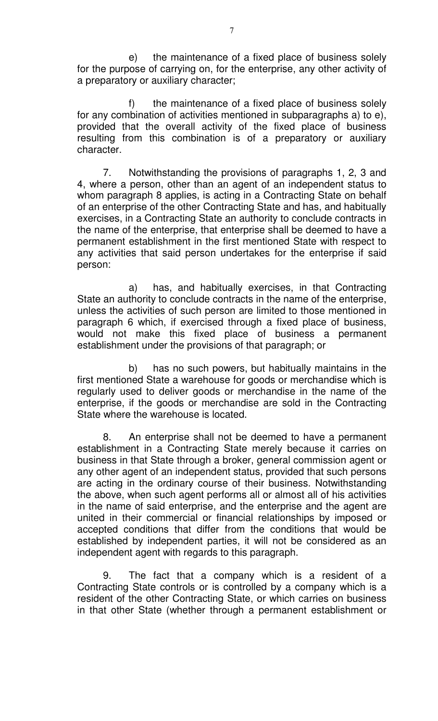e) the maintenance of a fixed place of business solely for the purpose of carrying on, for the enterprise, any other activity of a preparatory or auxiliary character;

f) the maintenance of a fixed place of business solely for any combination of activities mentioned in subparagraphs a) to e), provided that the overall activity of the fixed place of business resulting from this combination is of a preparatory or auxiliary character.

7. Notwithstanding the provisions of paragraphs 1, 2, 3 and 4, where a person, other than an agent of an independent status to whom paragraph 8 applies, is acting in a Contracting State on behalf of an enterprise of the other Contracting State and has, and habitually exercises, in a Contracting State an authority to conclude contracts in the name of the enterprise, that enterprise shall be deemed to have a permanent establishment in the first mentioned State with respect to any activities that said person undertakes for the enterprise if said person:

a) has, and habitually exercises, in that Contracting State an authority to conclude contracts in the name of the enterprise, unless the activities of such person are limited to those mentioned in paragraph 6 which, if exercised through a fixed place of business, would not make this fixed place of business a permanent establishment under the provisions of that paragraph; or

b) has no such powers, but habitually maintains in the first mentioned State a warehouse for goods or merchandise which is regularly used to deliver goods or merchandise in the name of the enterprise, if the goods or merchandise are sold in the Contracting State where the warehouse is located.

8. An enterprise shall not be deemed to have a permanent establishment in a Contracting State merely because it carries on business in that State through a broker, general commission agent or any other agent of an independent status, provided that such persons are acting in the ordinary course of their business. Notwithstanding the above, when such agent performs all or almost all of his activities in the name of said enterprise, and the enterprise and the agent are united in their commercial or financial relationships by imposed or accepted conditions that differ from the conditions that would be established by independent parties, it will not be considered as an independent agent with regards to this paragraph.

9. The fact that a company which is a resident of a Contracting State controls or is controlled by a company which is a resident of the other Contracting State, or which carries on business in that other State (whether through a permanent establishment or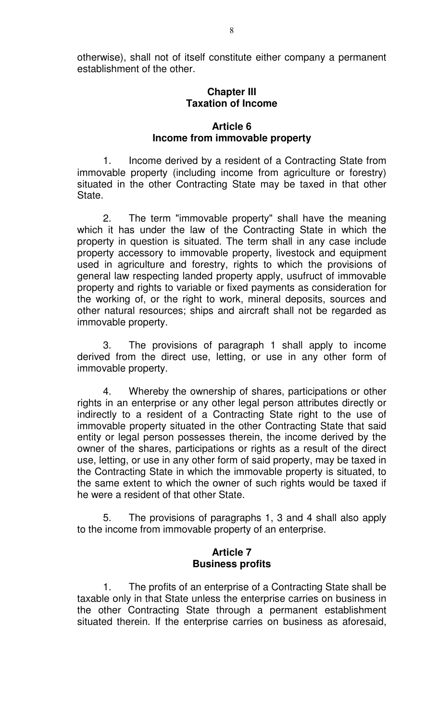otherwise), shall not of itself constitute either company a permanent establishment of the other.

### **Chapter III Taxation of Income**

## **Article 6 Income from immovable property**

1. Income derived by a resident of a Contracting State from immovable property (including income from agriculture or forestry) situated in the other Contracting State may be taxed in that other State.

2. The term "immovable property" shall have the meaning which it has under the law of the Contracting State in which the property in question is situated. The term shall in any case include property accessory to immovable property, livestock and equipment used in agriculture and forestry, rights to which the provisions of general law respecting landed property apply, usufruct of immovable property and rights to variable or fixed payments as consideration for the working of, or the right to work, mineral deposits, sources and other natural resources; ships and aircraft shall not be regarded as immovable property.

3. The provisions of paragraph 1 shall apply to income derived from the direct use, letting, or use in any other form of immovable property.

4. Whereby the ownership of shares, participations or other rights in an enterprise or any other legal person attributes directly or indirectly to a resident of a Contracting State right to the use of immovable property situated in the other Contracting State that said entity or legal person possesses therein, the income derived by the owner of the shares, participations or rights as a result of the direct use, letting, or use in any other form of said property, may be taxed in the Contracting State in which the immovable property is situated, to the same extent to which the owner of such rights would be taxed if he were a resident of that other State.

5. The provisions of paragraphs 1, 3 and 4 shall also apply to the income from immovable property of an enterprise.

## **Article 7 Business profits**

1. The profits of an enterprise of a Contracting State shall be taxable only in that State unless the enterprise carries on business in the other Contracting State through a permanent establishment situated therein. If the enterprise carries on business as aforesaid,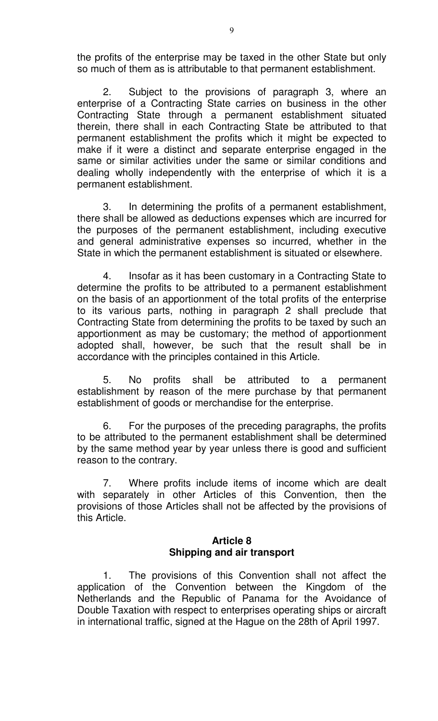the profits of the enterprise may be taxed in the other State but only so much of them as is attributable to that permanent establishment.

2. Subject to the provisions of paragraph 3, where an enterprise of a Contracting State carries on business in the other Contracting State through a permanent establishment situated therein, there shall in each Contracting State be attributed to that permanent establishment the profits which it might be expected to make if it were a distinct and separate enterprise engaged in the same or similar activities under the same or similar conditions and dealing wholly independently with the enterprise of which it is a permanent establishment.

3. In determining the profits of a permanent establishment, there shall be allowed as deductions expenses which are incurred for the purposes of the permanent establishment, including executive and general administrative expenses so incurred, whether in the State in which the permanent establishment is situated or elsewhere.

4. Insofar as it has been customary in a Contracting State to determine the profits to be attributed to a permanent establishment on the basis of an apportionment of the total profits of the enterprise to its various parts, nothing in paragraph 2 shall preclude that Contracting State from determining the profits to be taxed by such an apportionment as may be customary; the method of apportionment adopted shall, however, be such that the result shall be in accordance with the principles contained in this Article.

5. No profits shall be attributed to a permanent establishment by reason of the mere purchase by that permanent establishment of goods or merchandise for the enterprise.

6. For the purposes of the preceding paragraphs, the profits to be attributed to the permanent establishment shall be determined by the same method year by year unless there is good and sufficient reason to the contrary.

7. Where profits include items of income which are dealt with separately in other Articles of this Convention, then the provisions of those Articles shall not be affected by the provisions of this Article.

# **Article 8 Shipping and air transport**

1. The provisions of this Convention shall not affect the application of the Convention between the Kingdom of the Netherlands and the Republic of Panama for the Avoidance of Double Taxation with respect to enterprises operating ships or aircraft in international traffic, signed at the Hague on the 28th of April 1997.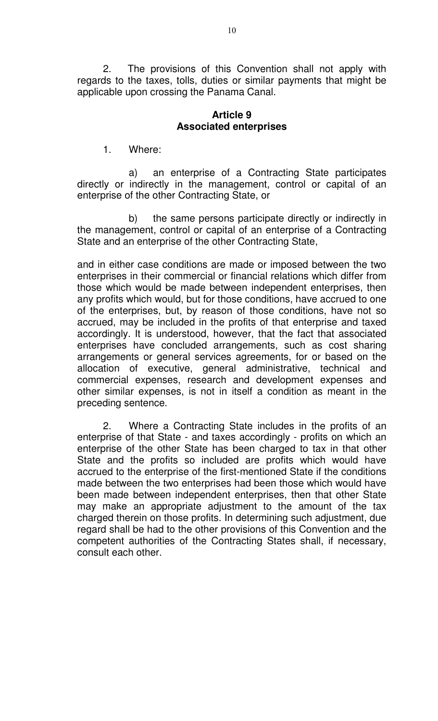2. The provisions of this Convention shall not apply with regards to the taxes, tolls, duties or similar payments that might be applicable upon crossing the Panama Canal.

## **Article 9 Associated enterprises**

1. Where:

a) an enterprise of a Contracting State participates directly or indirectly in the management, control or capital of an enterprise of the other Contracting State, or

b) the same persons participate directly or indirectly in the management, control or capital of an enterprise of a Contracting State and an enterprise of the other Contracting State,

and in either case conditions are made or imposed between the two enterprises in their commercial or financial relations which differ from those which would be made between independent enterprises, then any profits which would, but for those conditions, have accrued to one of the enterprises, but, by reason of those conditions, have not so accrued, may be included in the profits of that enterprise and taxed accordingly. It is understood, however, that the fact that associated enterprises have concluded arrangements, such as cost sharing arrangements or general services agreements, for or based on the allocation of executive, general administrative, technical and commercial expenses, research and development expenses and other similar expenses, is not in itself a condition as meant in the preceding sentence.

2. Where a Contracting State includes in the profits of an enterprise of that State - and taxes accordingly - profits on which an enterprise of the other State has been charged to tax in that other State and the profits so included are profits which would have accrued to the enterprise of the first-mentioned State if the conditions made between the two enterprises had been those which would have been made between independent enterprises, then that other State may make an appropriate adjustment to the amount of the tax charged therein on those profits. In determining such adjustment, due regard shall be had to the other provisions of this Convention and the competent authorities of the Contracting States shall, if necessary, consult each other.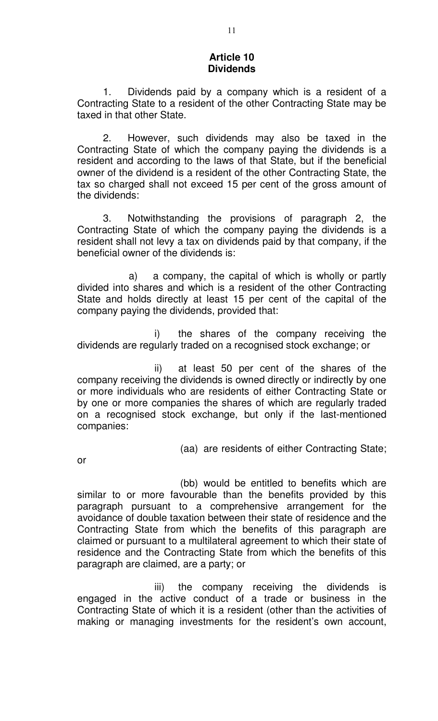#### **Article 10 Dividends**

1. Dividends paid by a company which is a resident of a Contracting State to a resident of the other Contracting State may be taxed in that other State.

2. However, such dividends may also be taxed in the Contracting State of which the company paying the dividends is a resident and according to the laws of that State, but if the beneficial owner of the dividend is a resident of the other Contracting State, the tax so charged shall not exceed 15 per cent of the gross amount of the dividends:

3. Notwithstanding the provisions of paragraph 2, the Contracting State of which the company paying the dividends is a resident shall not levy a tax on dividends paid by that company, if the beneficial owner of the dividends is:

a) a company, the capital of which is wholly or partly divided into shares and which is a resident of the other Contracting State and holds directly at least 15 per cent of the capital of the company paying the dividends, provided that:

i) the shares of the company receiving the dividends are regularly traded on a recognised stock exchange; or

ii) at least 50 per cent of the shares of the company receiving the dividends is owned directly or indirectly by one or more individuals who are residents of either Contracting State or by one or more companies the shares of which are regularly traded on a recognised stock exchange, but only if the last-mentioned companies:

(aa) are residents of either Contracting State;

or

(bb) would be entitled to benefits which are similar to or more favourable than the benefits provided by this paragraph pursuant to a comprehensive arrangement for the avoidance of double taxation between their state of residence and the Contracting State from which the benefits of this paragraph are claimed or pursuant to a multilateral agreement to which their state of residence and the Contracting State from which the benefits of this paragraph are claimed, are a party; or

iii) the company receiving the dividends is engaged in the active conduct of a trade or business in the Contracting State of which it is a resident (other than the activities of making or managing investments for the resident's own account,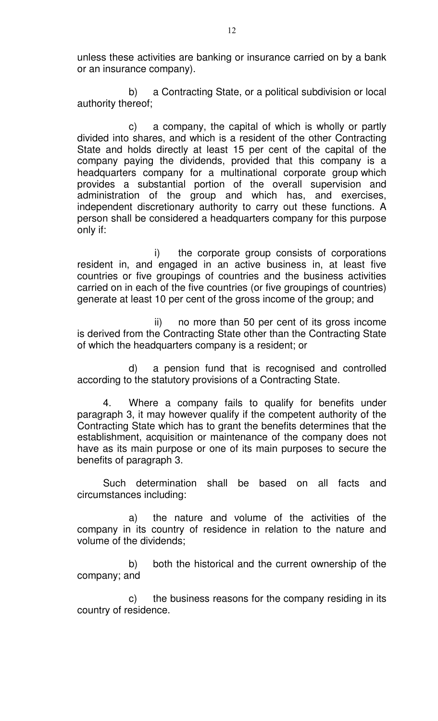unless these activities are banking or insurance carried on by a bank or an insurance company).

b) a Contracting State, or a political subdivision or local authority thereof;

c) a company, the capital of which is wholly or partly divided into shares, and which is a resident of the other Contracting State and holds directly at least 15 per cent of the capital of the company paying the dividends, provided that this company is a headquarters company for a multinational corporate group which provides a substantial portion of the overall supervision and administration of the group and which has, and exercises, independent discretionary authority to carry out these functions. A person shall be considered a headquarters company for this purpose only if:

i) the corporate group consists of corporations resident in, and engaged in an active business in, at least five countries or five groupings of countries and the business activities carried on in each of the five countries (or five groupings of countries) generate at least 10 per cent of the gross income of the group; and

ii) no more than 50 per cent of its gross income is derived from the Contracting State other than the Contracting State of which the headquarters company is a resident; or

d) a pension fund that is recognised and controlled according to the statutory provisions of a Contracting State.

4. Where a company fails to qualify for benefits under paragraph 3, it may however qualify if the competent authority of the Contracting State which has to grant the benefits determines that the establishment, acquisition or maintenance of the company does not have as its main purpose or one of its main purposes to secure the benefits of paragraph 3.

Such determination shall be based on all facts and circumstances including:

a) the nature and volume of the activities of the company in its country of residence in relation to the nature and volume of the dividends;

b) both the historical and the current ownership of the company; and

c) the business reasons for the company residing in its country of residence.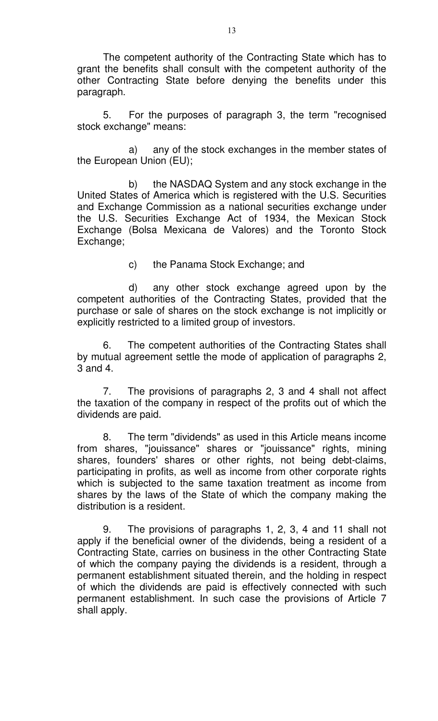The competent authority of the Contracting State which has to grant the benefits shall consult with the competent authority of the other Contracting State before denying the benefits under this paragraph.

5. For the purposes of paragraph 3, the term "recognised stock exchange" means:

a) any of the stock exchanges in the member states of the European Union (EU);

b) the NASDAQ System and any stock exchange in the United States of America which is registered with the U.S. Securities and Exchange Commission as a national securities exchange under the U.S. Securities Exchange Act of 1934, the Mexican Stock Exchange (Bolsa Mexicana de Valores) and the Toronto Stock Exchange;

c) the Panama Stock Exchange; and

d) any other stock exchange agreed upon by the competent authorities of the Contracting States, provided that the purchase or sale of shares on the stock exchange is not implicitly or explicitly restricted to a limited group of investors.

6. The competent authorities of the Contracting States shall by mutual agreement settle the mode of application of paragraphs 2, 3 and 4.

7. The provisions of paragraphs 2, 3 and 4 shall not affect the taxation of the company in respect of the profits out of which the dividends are paid.

8. The term "dividends" as used in this Article means income from shares, "jouissance" shares or "jouissance" rights, mining shares, founders' shares or other rights, not being debt-claims, participating in profits, as well as income from other corporate rights which is subjected to the same taxation treatment as income from shares by the laws of the State of which the company making the distribution is a resident.

9. The provisions of paragraphs 1, 2, 3, 4 and 11 shall not apply if the beneficial owner of the dividends, being a resident of a Contracting State, carries on business in the other Contracting State of which the company paying the dividends is a resident, through a permanent establishment situated therein, and the holding in respect of which the dividends are paid is effectively connected with such permanent establishment. In such case the provisions of Article 7 shall apply.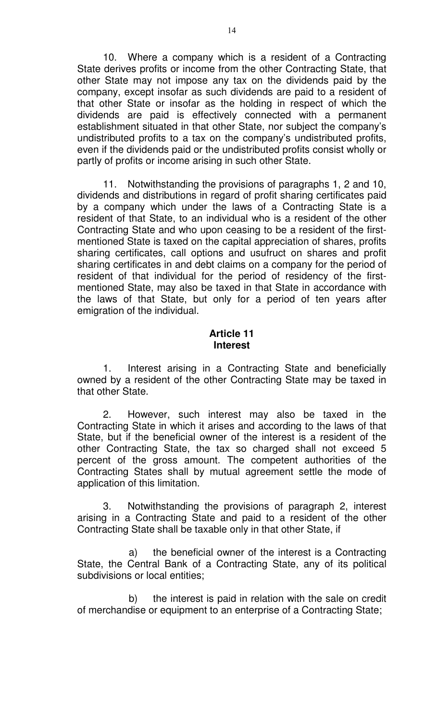10. Where a company which is a resident of a Contracting State derives profits or income from the other Contracting State, that other State may not impose any tax on the dividends paid by the company, except insofar as such dividends are paid to a resident of that other State or insofar as the holding in respect of which the dividends are paid is effectively connected with a permanent establishment situated in that other State, nor subject the company's undistributed profits to a tax on the company's undistributed profits, even if the dividends paid or the undistributed profits consist wholly or partly of profits or income arising in such other State.

11. Notwithstanding the provisions of paragraphs 1, 2 and 10, dividends and distributions in regard of profit sharing certificates paid by a company which under the laws of a Contracting State is a resident of that State, to an individual who is a resident of the other Contracting State and who upon ceasing to be a resident of the firstmentioned State is taxed on the capital appreciation of shares, profits sharing certificates, call options and usufruct on shares and profit sharing certificates in and debt claims on a company for the period of resident of that individual for the period of residency of the firstmentioned State, may also be taxed in that State in accordance with the laws of that State, but only for a period of ten years after emigration of the individual.

## **Article 11 Interest**

1. Interest arising in a Contracting State and beneficially owned by a resident of the other Contracting State may be taxed in that other State.

2. However, such interest may also be taxed in the Contracting State in which it arises and according to the laws of that State, but if the beneficial owner of the interest is a resident of the other Contracting State, the tax so charged shall not exceed 5 percent of the gross amount. The competent authorities of the Contracting States shall by mutual agreement settle the mode of application of this limitation.

3. Notwithstanding the provisions of paragraph 2, interest arising in a Contracting State and paid to a resident of the other Contracting State shall be taxable only in that other State, if

a) the beneficial owner of the interest is a Contracting State, the Central Bank of a Contracting State, any of its political subdivisions or local entities;

b) the interest is paid in relation with the sale on credit of merchandise or equipment to an enterprise of a Contracting State;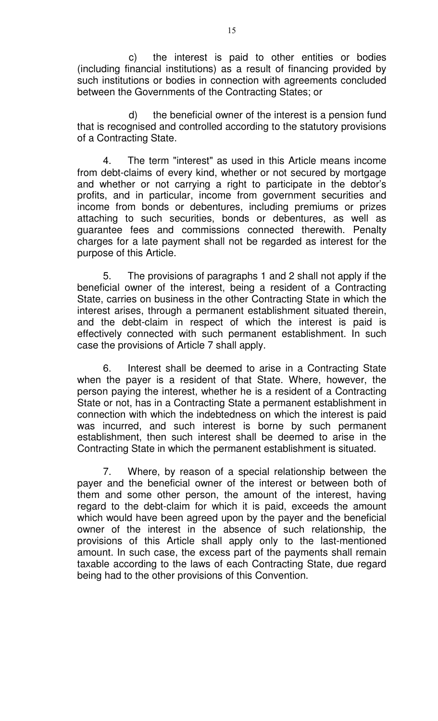c) the interest is paid to other entities or bodies (including financial institutions) as a result of financing provided by such institutions or bodies in connection with agreements concluded between the Governments of the Contracting States; or

d) the beneficial owner of the interest is a pension fund that is recognised and controlled according to the statutory provisions of a Contracting State.

4. The term "interest" as used in this Article means income from debt-claims of every kind, whether or not secured by mortgage and whether or not carrying a right to participate in the debtor's profits, and in particular, income from government securities and income from bonds or debentures, including premiums or prizes attaching to such securities, bonds or debentures, as well as guarantee fees and commissions connected therewith. Penalty charges for a late payment shall not be regarded as interest for the purpose of this Article.

5. The provisions of paragraphs 1 and 2 shall not apply if the beneficial owner of the interest, being a resident of a Contracting State, carries on business in the other Contracting State in which the interest arises, through a permanent establishment situated therein, and the debt-claim in respect of which the interest is paid is effectively connected with such permanent establishment. In such case the provisions of Article 7 shall apply.

6. Interest shall be deemed to arise in a Contracting State when the payer is a resident of that State. Where, however, the person paying the interest, whether he is a resident of a Contracting State or not, has in a Contracting State a permanent establishment in connection with which the indebtedness on which the interest is paid was incurred, and such interest is borne by such permanent establishment, then such interest shall be deemed to arise in the Contracting State in which the permanent establishment is situated.

7. Where, by reason of a special relationship between the payer and the beneficial owner of the interest or between both of them and some other person, the amount of the interest, having regard to the debt-claim for which it is paid, exceeds the amount which would have been agreed upon by the payer and the beneficial owner of the interest in the absence of such relationship, the provisions of this Article shall apply only to the last-mentioned amount. In such case, the excess part of the payments shall remain taxable according to the laws of each Contracting State, due regard being had to the other provisions of this Convention.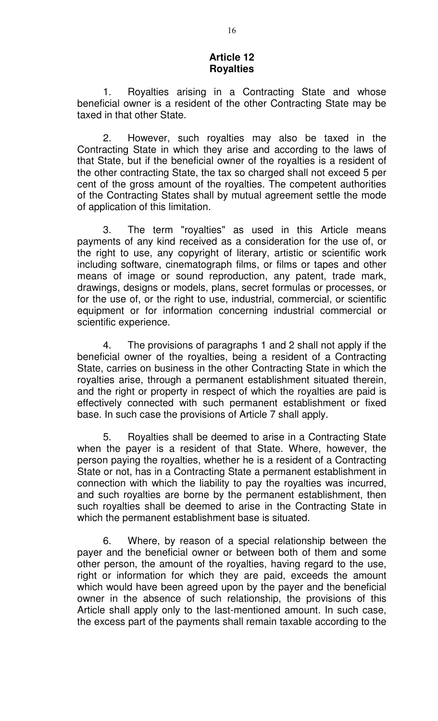#### **Article 12 Royalties**

1. Royalties arising in a Contracting State and whose beneficial owner is a resident of the other Contracting State may be taxed in that other State.

2. However, such royalties may also be taxed in the Contracting State in which they arise and according to the laws of that State, but if the beneficial owner of the royalties is a resident of the other contracting State, the tax so charged shall not exceed 5 per cent of the gross amount of the royalties. The competent authorities of the Contracting States shall by mutual agreement settle the mode of application of this limitation.

3. The term "royalties" as used in this Article means payments of any kind received as a consideration for the use of, or the right to use, any copyright of literary, artistic or scientific work including software, cinematograph films, or films or tapes and other means of image or sound reproduction, any patent, trade mark, drawings, designs or models, plans, secret formulas or processes, or for the use of, or the right to use, industrial, commercial, or scientific equipment or for information concerning industrial commercial or scientific experience.

4. The provisions of paragraphs 1 and 2 shall not apply if the beneficial owner of the royalties, being a resident of a Contracting State, carries on business in the other Contracting State in which the royalties arise, through a permanent establishment situated therein, and the right or property in respect of which the royalties are paid is effectively connected with such permanent establishment or fixed base. In such case the provisions of Article 7 shall apply.

5. Royalties shall be deemed to arise in a Contracting State when the payer is a resident of that State. Where, however, the person paying the royalties, whether he is a resident of a Contracting State or not, has in a Contracting State a permanent establishment in connection with which the liability to pay the royalties was incurred, and such royalties are borne by the permanent establishment, then such royalties shall be deemed to arise in the Contracting State in which the permanent establishment base is situated.

6. Where, by reason of a special relationship between the payer and the beneficial owner or between both of them and some other person, the amount of the royalties, having regard to the use, right or information for which they are paid, exceeds the amount which would have been agreed upon by the payer and the beneficial owner in the absence of such relationship, the provisions of this Article shall apply only to the last-mentioned amount. In such case, the excess part of the payments shall remain taxable according to the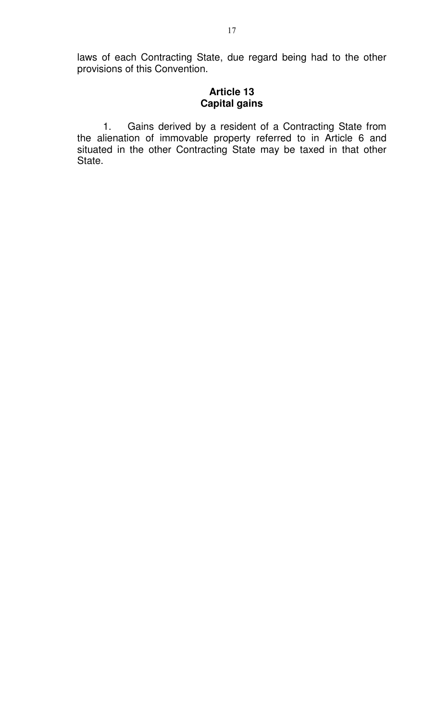laws of each Contracting State, due regard being had to the other provisions of this Convention.

### **Article 13 Capital gains**

1. Gains derived by a resident of a Contracting State from the alienation of immovable property referred to in Article 6 and situated in the other Contracting State may be taxed in that other State.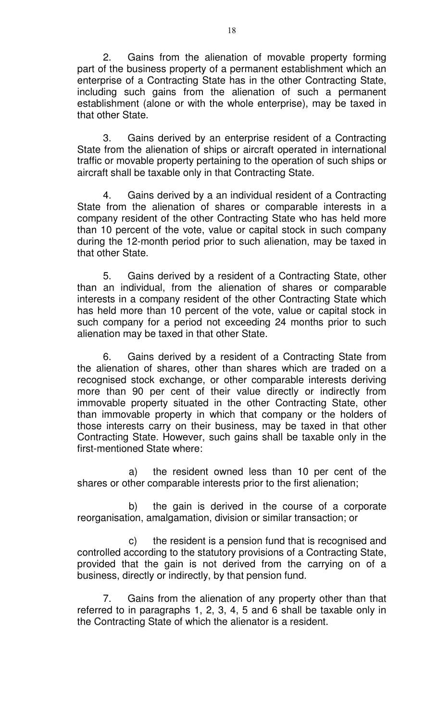2. Gains from the alienation of movable property forming part of the business property of a permanent establishment which an enterprise of a Contracting State has in the other Contracting State, including such gains from the alienation of such a permanent establishment (alone or with the whole enterprise), may be taxed in that other State.

3. Gains derived by an enterprise resident of a Contracting State from the alienation of ships or aircraft operated in international traffic or movable property pertaining to the operation of such ships or aircraft shall be taxable only in that Contracting State.

4. Gains derived by a an individual resident of a Contracting State from the alienation of shares or comparable interests in a company resident of the other Contracting State who has held more than 10 percent of the vote, value or capital stock in such company during the 12-month period prior to such alienation, may be taxed in that other State.

5. Gains derived by a resident of a Contracting State, other than an individual, from the alienation of shares or comparable interests in a company resident of the other Contracting State which has held more than 10 percent of the vote, value or capital stock in such company for a period not exceeding 24 months prior to such alienation may be taxed in that other State.

6. Gains derived by a resident of a Contracting State from the alienation of shares, other than shares which are traded on a recognised stock exchange, or other comparable interests deriving more than 90 per cent of their value directly or indirectly from immovable property situated in the other Contracting State, other than immovable property in which that company or the holders of those interests carry on their business, may be taxed in that other Contracting State. However, such gains shall be taxable only in the first-mentioned State where:

a) the resident owned less than 10 per cent of the shares or other comparable interests prior to the first alienation;

b) the gain is derived in the course of a corporate reorganisation, amalgamation, division or similar transaction; or

c) the resident is a pension fund that is recognised and controlled according to the statutory provisions of a Contracting State, provided that the gain is not derived from the carrying on of a business, directly or indirectly, by that pension fund.

7. Gains from the alienation of any property other than that referred to in paragraphs 1, 2, 3, 4, 5 and 6 shall be taxable only in the Contracting State of which the alienator is a resident.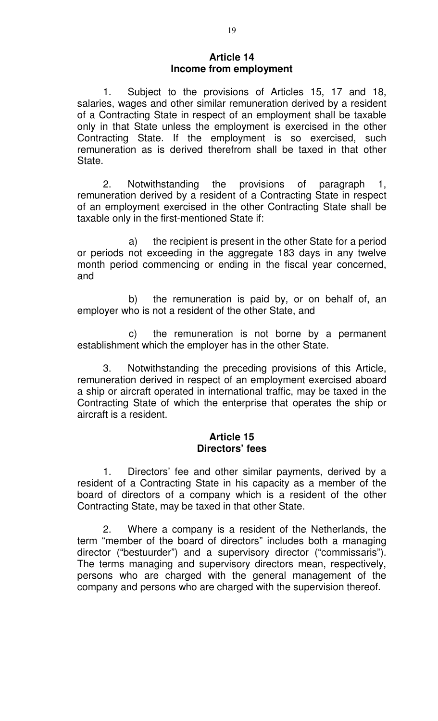## **Article 14 Income from employment**

1. Subject to the provisions of Articles 15, 17 and 18, salaries, wages and other similar remuneration derived by a resident of a Contracting State in respect of an employment shall be taxable only in that State unless the employment is exercised in the other Contracting State. If the employment is so exercised, such remuneration as is derived therefrom shall be taxed in that other State.

2. Notwithstanding the provisions of paragraph 1, remuneration derived by a resident of a Contracting State in respect of an employment exercised in the other Contracting State shall be taxable only in the first-mentioned State if:

a) the recipient is present in the other State for a period or periods not exceeding in the aggregate 183 days in any twelve month period commencing or ending in the fiscal year concerned, and

b) the remuneration is paid by, or on behalf of, an employer who is not a resident of the other State, and

c) the remuneration is not borne by a permanent establishment which the employer has in the other State.

3. Notwithstanding the preceding provisions of this Article, remuneration derived in respect of an employment exercised aboard a ship or aircraft operated in international traffic, may be taxed in the Contracting State of which the enterprise that operates the ship or aircraft is a resident.

#### **Article 15 Directors' fees**

1. Directors' fee and other similar payments, derived by a resident of a Contracting State in his capacity as a member of the board of directors of a company which is a resident of the other Contracting State, may be taxed in that other State.

2. Where a company is a resident of the Netherlands, the term "member of the board of directors" includes both a managing director ("bestuurder") and a supervisory director ("commissaris"). The terms managing and supervisory directors mean, respectively, persons who are charged with the general management of the company and persons who are charged with the supervision thereof.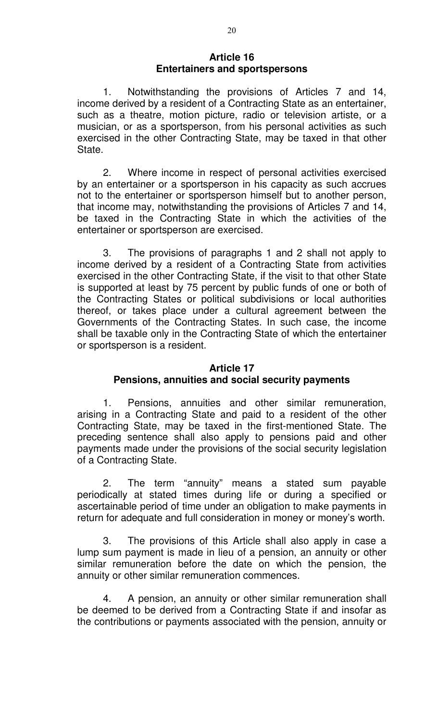### **Article 16 Entertainers and sportspersons**

1. Notwithstanding the provisions of Articles 7 and 14, income derived by a resident of a Contracting State as an entertainer, such as a theatre, motion picture, radio or television artiste, or a musician, or as a sportsperson, from his personal activities as such exercised in the other Contracting State, may be taxed in that other State.

2. Where income in respect of personal activities exercised by an entertainer or a sportsperson in his capacity as such accrues not to the entertainer or sportsperson himself but to another person, that income may, notwithstanding the provisions of Articles 7 and 14, be taxed in the Contracting State in which the activities of the entertainer or sportsperson are exercised.

3. The provisions of paragraphs 1 and 2 shall not apply to income derived by a resident of a Contracting State from activities exercised in the other Contracting State, if the visit to that other State is supported at least by 75 percent by public funds of one or both of the Contracting States or political subdivisions or local authorities thereof, or takes place under a cultural agreement between the Governments of the Contracting States. In such case, the income shall be taxable only in the Contracting State of which the entertainer or sportsperson is a resident.

#### **Article 17**

# **Pensions, annuities and social security payments**

1. Pensions, annuities and other similar remuneration, arising in a Contracting State and paid to a resident of the other Contracting State, may be taxed in the first-mentioned State. The preceding sentence shall also apply to pensions paid and other payments made under the provisions of the social security legislation of a Contracting State.

2. The term "annuity" means a stated sum payable periodically at stated times during life or during a specified or ascertainable period of time under an obligation to make payments in return for adequate and full consideration in money or money's worth.

3. The provisions of this Article shall also apply in case a lump sum payment is made in lieu of a pension, an annuity or other similar remuneration before the date on which the pension, the annuity or other similar remuneration commences.

4. A pension, an annuity or other similar remuneration shall be deemed to be derived from a Contracting State if and insofar as the contributions or payments associated with the pension, annuity or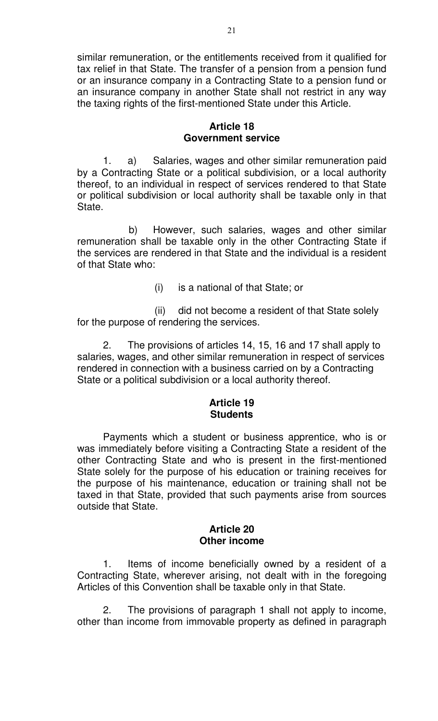similar remuneration, or the entitlements received from it qualified for tax relief in that State. The transfer of a pension from a pension fund or an insurance company in a Contracting State to a pension fund or an insurance company in another State shall not restrict in any way the taxing rights of the first-mentioned State under this Article.

### **Article 18 Government service**

1. a) Salaries, wages and other similar remuneration paid by a Contracting State or a political subdivision, or a local authority thereof, to an individual in respect of services rendered to that State or political subdivision or local authority shall be taxable only in that State.

b) However, such salaries, wages and other similar remuneration shall be taxable only in the other Contracting State if the services are rendered in that State and the individual is a resident of that State who:

(i) is a national of that State; or

(ii) did not become a resident of that State solely for the purpose of rendering the services.

2. The provisions of articles 14, 15, 16 and 17 shall apply to salaries, wages, and other similar remuneration in respect of services rendered in connection with a business carried on by a Contracting State or a political subdivision or a local authority thereof.

# **Article 19 Students**

Payments which a student or business apprentice, who is or was immediately before visiting a Contracting State a resident of the other Contracting State and who is present in the first-mentioned State solely for the purpose of his education or training receives for the purpose of his maintenance, education or training shall not be taxed in that State, provided that such payments arise from sources outside that State.

#### **Article 20 Other income**

1. Items of income beneficially owned by a resident of a Contracting State, wherever arising, not dealt with in the foregoing Articles of this Convention shall be taxable only in that State.

2. The provisions of paragraph 1 shall not apply to income, other than income from immovable property as defined in paragraph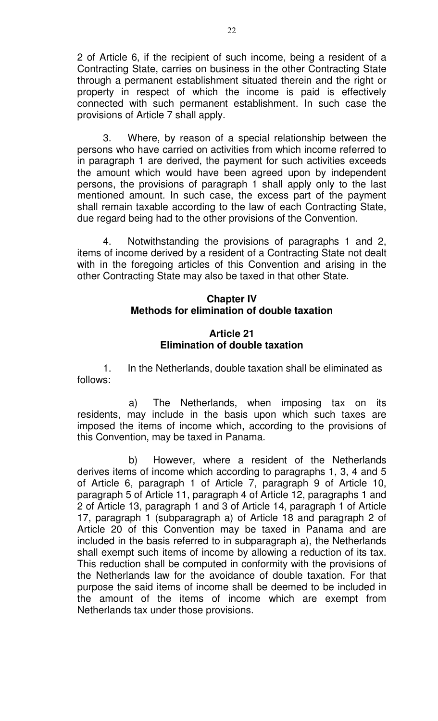2 of Article 6, if the recipient of such income, being a resident of a Contracting State, carries on business in the other Contracting State through a permanent establishment situated therein and the right or property in respect of which the income is paid is effectively connected with such permanent establishment. In such case the provisions of Article 7 shall apply.

3. Where, by reason of a special relationship between the persons who have carried on activities from which income referred to in paragraph 1 are derived, the payment for such activities exceeds the amount which would have been agreed upon by independent persons, the provisions of paragraph 1 shall apply only to the last mentioned amount. In such case, the excess part of the payment shall remain taxable according to the law of each Contracting State, due regard being had to the other provisions of the Convention.

4. Notwithstanding the provisions of paragraphs 1 and 2, items of income derived by a resident of a Contracting State not dealt with in the foregoing articles of this Convention and arising in the other Contracting State may also be taxed in that other State.

## **Chapter IV Methods for elimination of double taxation**

## **Article 21 Elimination of double taxation**

1. In the Netherlands, double taxation shall be eliminated as follows:

a) The Netherlands, when imposing tax on its residents, may include in the basis upon which such taxes are imposed the items of income which, according to the provisions of this Convention, may be taxed in Panama.

b) However, where a resident of the Netherlands derives items of income which according to paragraphs 1, 3, 4 and 5 of Article 6, paragraph 1 of Article 7, paragraph 9 of Article 10, paragraph 5 of Article 11, paragraph 4 of Article 12, paragraphs 1 and 2 of Article 13, paragraph 1 and 3 of Article 14, paragraph 1 of Article 17, paragraph 1 (subparagraph a) of Article 18 and paragraph 2 of Article 20 of this Convention may be taxed in Panama and are included in the basis referred to in subparagraph a), the Netherlands shall exempt such items of income by allowing a reduction of its tax. This reduction shall be computed in conformity with the provisions of the Netherlands law for the avoidance of double taxation. For that purpose the said items of income shall be deemed to be included in the amount of the items of income which are exempt from Netherlands tax under those provisions.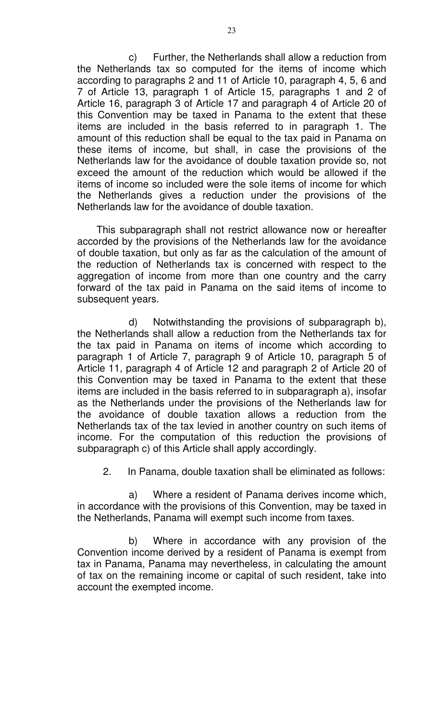c) Further, the Netherlands shall allow a reduction from the Netherlands tax so computed for the items of income which according to paragraphs 2 and 11 of Article 10, paragraph 4, 5, 6 and 7 of Article 13, paragraph 1 of Article 15, paragraphs 1 and 2 of Article 16, paragraph 3 of Article 17 and paragraph 4 of Article 20 of this Convention may be taxed in Panama to the extent that these items are included in the basis referred to in paragraph 1. The amount of this reduction shall be equal to the tax paid in Panama on these items of income, but shall, in case the provisions of the Netherlands law for the avoidance of double taxation provide so, not exceed the amount of the reduction which would be allowed if the items of income so included were the sole items of income for which the Netherlands gives a reduction under the provisions of the Netherlands law for the avoidance of double taxation.

This subparagraph shall not restrict allowance now or hereafter accorded by the provisions of the Netherlands law for the avoidance of double taxation, but only as far as the calculation of the amount of the reduction of Netherlands tax is concerned with respect to the aggregation of income from more than one country and the carry forward of the tax paid in Panama on the said items of income to subsequent years.

d) Notwithstanding the provisions of subparagraph b), the Netherlands shall allow a reduction from the Netherlands tax for the tax paid in Panama on items of income which according to paragraph 1 of Article 7, paragraph 9 of Article 10, paragraph 5 of Article 11, paragraph 4 of Article 12 and paragraph 2 of Article 20 of this Convention may be taxed in Panama to the extent that these items are included in the basis referred to in subparagraph a), insofar as the Netherlands under the provisions of the Netherlands law for the avoidance of double taxation allows a reduction from the Netherlands tax of the tax levied in another country on such items of income. For the computation of this reduction the provisions of subparagraph c) of this Article shall apply accordingly.

2. In Panama, double taxation shall be eliminated as follows:

a) Where a resident of Panama derives income which, in accordance with the provisions of this Convention, may be taxed in the Netherlands, Panama will exempt such income from taxes.

b) Where in accordance with any provision of the Convention income derived by a resident of Panama is exempt from tax in Panama, Panama may nevertheless, in calculating the amount of tax on the remaining income or capital of such resident, take into account the exempted income.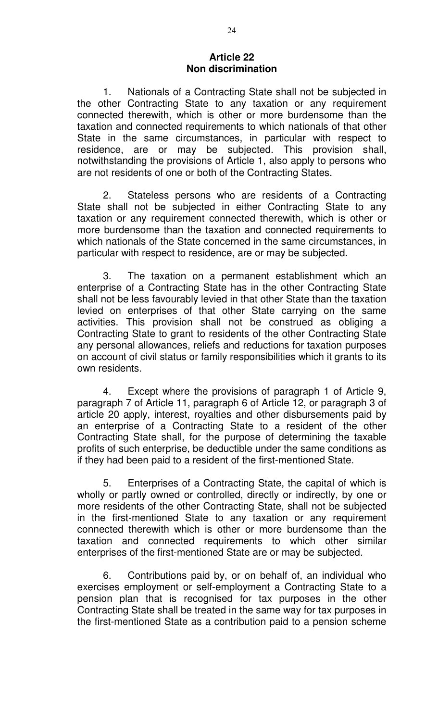## **Article 22 Non discrimination**

1. Nationals of a Contracting State shall not be subjected in the other Contracting State to any taxation or any requirement connected therewith, which is other or more burdensome than the taxation and connected requirements to which nationals of that other State in the same circumstances, in particular with respect to residence, are or may be subjected. This provision shall, notwithstanding the provisions of Article 1, also apply to persons who are not residents of one or both of the Contracting States.

2. Stateless persons who are residents of a Contracting State shall not be subjected in either Contracting State to any taxation or any requirement connected therewith, which is other or more burdensome than the taxation and connected requirements to which nationals of the State concerned in the same circumstances, in particular with respect to residence, are or may be subjected.

3. The taxation on a permanent establishment which an enterprise of a Contracting State has in the other Contracting State shall not be less favourably levied in that other State than the taxation levied on enterprises of that other State carrying on the same activities. This provision shall not be construed as obliging a Contracting State to grant to residents of the other Contracting State any personal allowances, reliefs and reductions for taxation purposes on account of civil status or family responsibilities which it grants to its own residents.

4. Except where the provisions of paragraph 1 of Article 9, paragraph 7 of Article 11, paragraph 6 of Article 12, or paragraph 3 of article 20 apply, interest, royalties and other disbursements paid by an enterprise of a Contracting State to a resident of the other Contracting State shall, for the purpose of determining the taxable profits of such enterprise, be deductible under the same conditions as if they had been paid to a resident of the first-mentioned State.

5. Enterprises of a Contracting State, the capital of which is wholly or partly owned or controlled, directly or indirectly, by one or more residents of the other Contracting State, shall not be subjected in the first-mentioned State to any taxation or any requirement connected therewith which is other or more burdensome than the taxation and connected requirements to which other similar enterprises of the first-mentioned State are or may be subjected.

6. Contributions paid by, or on behalf of, an individual who exercises employment or self-employment a Contracting State to a pension plan that is recognised for tax purposes in the other Contracting State shall be treated in the same way for tax purposes in the first-mentioned State as a contribution paid to a pension scheme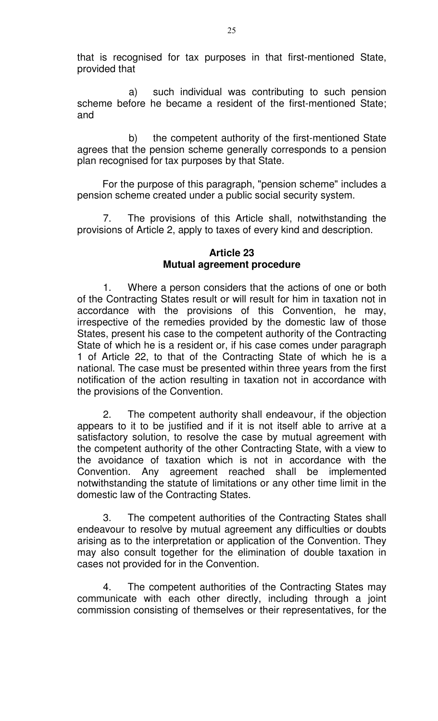that is recognised for tax purposes in that first-mentioned State, provided that

a) such individual was contributing to such pension scheme before he became a resident of the first-mentioned State; and

b) the competent authority of the first-mentioned State agrees that the pension scheme generally corresponds to a pension plan recognised for tax purposes by that State.

For the purpose of this paragraph, "pension scheme" includes a pension scheme created under a public social security system.

7. The provisions of this Article shall, notwithstanding the provisions of Article 2, apply to taxes of every kind and description.

## **Article 23 Mutual agreement procedure**

1. Where a person considers that the actions of one or both of the Contracting States result or will result for him in taxation not in accordance with the provisions of this Convention, he may, irrespective of the remedies provided by the domestic law of those States, present his case to the competent authority of the Contracting State of which he is a resident or, if his case comes under paragraph 1 of Article 22, to that of the Contracting State of which he is a national. The case must be presented within three years from the first notification of the action resulting in taxation not in accordance with the provisions of the Convention.

2. The competent authority shall endeavour, if the objection appears to it to be justified and if it is not itself able to arrive at a satisfactory solution, to resolve the case by mutual agreement with the competent authority of the other Contracting State, with a view to the avoidance of taxation which is not in accordance with the Convention. Any agreement reached shall be implemented notwithstanding the statute of limitations or any other time limit in the domestic law of the Contracting States.

3. The competent authorities of the Contracting States shall endeavour to resolve by mutual agreement any difficulties or doubts arising as to the interpretation or application of the Convention. They may also consult together for the elimination of double taxation in cases not provided for in the Convention.

4. The competent authorities of the Contracting States may communicate with each other directly, including through a joint commission consisting of themselves or their representatives, for the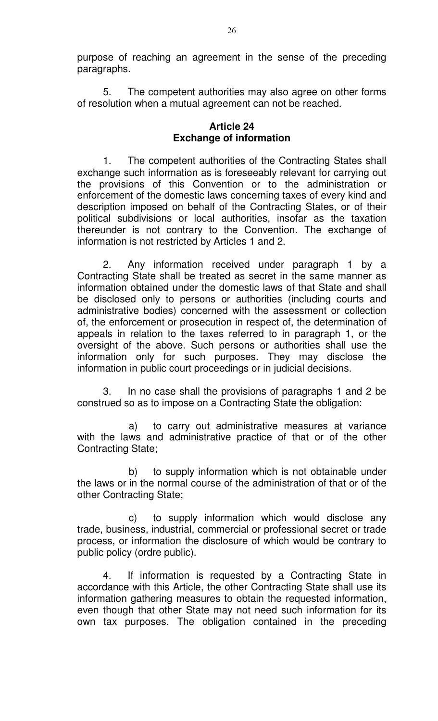purpose of reaching an agreement in the sense of the preceding paragraphs.

5. The competent authorities may also agree on other forms of resolution when a mutual agreement can not be reached.

## **Article 24 Exchange of information**

1. The competent authorities of the Contracting States shall exchange such information as is foreseeably relevant for carrying out the provisions of this Convention or to the administration or enforcement of the domestic laws concerning taxes of every kind and description imposed on behalf of the Contracting States, or of their political subdivisions or local authorities, insofar as the taxation thereunder is not contrary to the Convention. The exchange of information is not restricted by Articles 1 and 2.

2. Any information received under paragraph 1 by a Contracting State shall be treated as secret in the same manner as information obtained under the domestic laws of that State and shall be disclosed only to persons or authorities (including courts and administrative bodies) concerned with the assessment or collection of, the enforcement or prosecution in respect of, the determination of appeals in relation to the taxes referred to in paragraph 1, or the oversight of the above. Such persons or authorities shall use the information only for such purposes. They may disclose the information in public court proceedings or in judicial decisions.

3. In no case shall the provisions of paragraphs 1 and 2 be construed so as to impose on a Contracting State the obligation:

a) to carry out administrative measures at variance with the laws and administrative practice of that or of the other Contracting State;

b) to supply information which is not obtainable under the laws or in the normal course of the administration of that or of the other Contracting State;

c) to supply information which would disclose any trade, business, industrial, commercial or professional secret or trade process, or information the disclosure of which would be contrary to public policy (ordre public).

4. If information is requested by a Contracting State in accordance with this Article, the other Contracting State shall use its information gathering measures to obtain the requested information, even though that other State may not need such information for its own tax purposes. The obligation contained in the preceding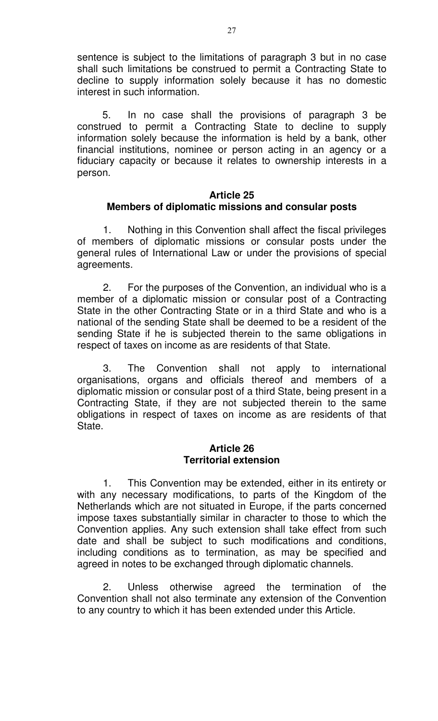sentence is subject to the limitations of paragraph 3 but in no case shall such limitations be construed to permit a Contracting State to decline to supply information solely because it has no domestic interest in such information.

5. In no case shall the provisions of paragraph 3 be construed to permit a Contracting State to decline to supply information solely because the information is held by a bank, other financial institutions, nominee or person acting in an agency or a fiduciary capacity or because it relates to ownership interests in a person.

#### **Article 25 Members of diplomatic missions and consular posts**

1. Nothing in this Convention shall affect the fiscal privileges of members of diplomatic missions or consular posts under the general rules of International Law or under the provisions of special agreements.

2. For the purposes of the Convention, an individual who is a member of a diplomatic mission or consular post of a Contracting State in the other Contracting State or in a third State and who is a national of the sending State shall be deemed to be a resident of the sending State if he is subjected therein to the same obligations in respect of taxes on income as are residents of that State.

3. The Convention shall not apply to international organisations, organs and officials thereof and members of a diplomatic mission or consular post of a third State, being present in a Contracting State, if they are not subjected therein to the same obligations in respect of taxes on income as are residents of that State.

#### **Article 26 Territorial extension**

1. This Convention may be extended, either in its entirety or with any necessary modifications, to parts of the Kingdom of the Netherlands which are not situated in Europe, if the parts concerned impose taxes substantially similar in character to those to which the Convention applies. Any such extension shall take effect from such date and shall be subject to such modifications and conditions, including conditions as to termination, as may be specified and agreed in notes to be exchanged through diplomatic channels.

2. Unless otherwise agreed the termination of the Convention shall not also terminate any extension of the Convention to any country to which it has been extended under this Article.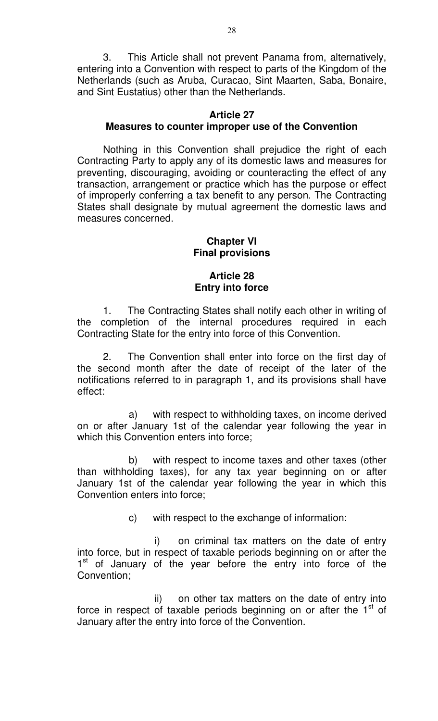3. This Article shall not prevent Panama from, alternatively, entering into a Convention with respect to parts of the Kingdom of the Netherlands (such as Aruba, Curacao, Sint Maarten, Saba, Bonaire, and Sint Eustatius) other than the Netherlands.

#### **Article 27 Measures to counter improper use of the Convention**

Nothing in this Convention shall prejudice the right of each Contracting Party to apply any of its domestic laws and measures for preventing, discouraging, avoiding or counteracting the effect of any transaction, arrangement or practice which has the purpose or effect of improperly conferring a tax benefit to any person. The Contracting States shall designate by mutual agreement the domestic laws and measures concerned.

#### **Chapter VI Final provisions**

# **Article 28 Entry into force**

1. The Contracting States shall notify each other in writing of the completion of the internal procedures required in each Contracting State for the entry into force of this Convention.

2. The Convention shall enter into force on the first day of the second month after the date of receipt of the later of the notifications referred to in paragraph 1, and its provisions shall have effect:

a) with respect to withholding taxes, on income derived on or after January 1st of the calendar year following the year in which this Convention enters into force;

b) with respect to income taxes and other taxes (other than withholding taxes), for any tax year beginning on or after January 1st of the calendar year following the year in which this Convention enters into force;

c) with respect to the exchange of information:

i) on criminal tax matters on the date of entry into force, but in respect of taxable periods beginning on or after the 1<sup>st</sup> of January of the year before the entry into force of the Convention;

ii) on other tax matters on the date of entry into force in respect of taxable periods beginning on or after the  $1<sup>st</sup>$  of January after the entry into force of the Convention.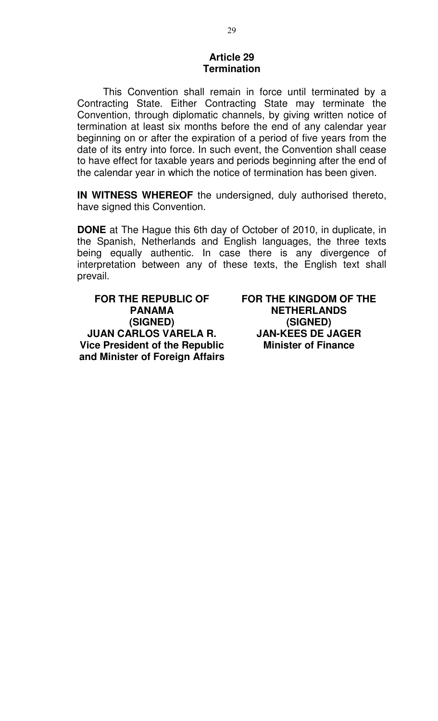#### **Article 29 Termination**

This Convention shall remain in force until terminated by a Contracting State. Either Contracting State may terminate the Convention, through diplomatic channels, by giving written notice of termination at least six months before the end of any calendar year beginning on or after the expiration of a period of five years from the date of its entry into force. In such event, the Convention shall cease to have effect for taxable years and periods beginning after the end of the calendar year in which the notice of termination has been given.

**IN WITNESS WHEREOF** the undersigned, duly authorised thereto, have signed this Convention.

**DONE** at The Hague this 6th day of October of 2010, in duplicate, in the Spanish, Netherlands and English languages, the three texts being equally authentic. In case there is any divergence of interpretation between any of these texts, the English text shall prevail.

**FOR THE REPUBLIC OF PANAMA (SIGNED) JUAN CARLOS VARELA R. Vice President of the Republic and Minister of Foreign Affairs** **FOR THE KINGDOM OF THE NETHERLANDS (SIGNED) JAN-KEES DE JAGER Minister of Finance**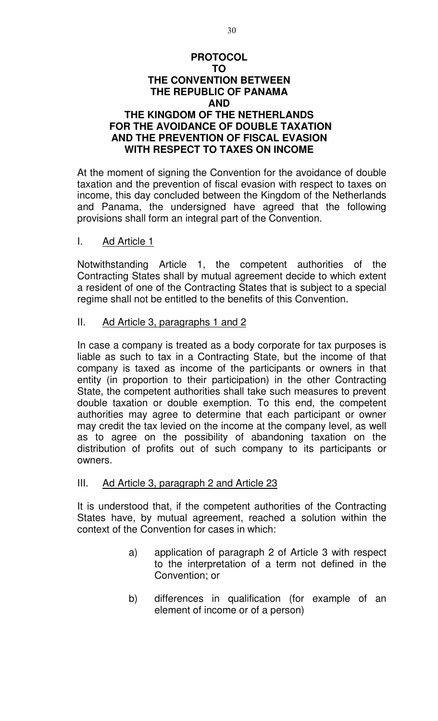## **PROTOCOL TO THE CONVENTION BETWEEN THE REPUBLIC OF PANAMA AND THE KINGDOM OF THE NETHERLANDS FOR THE AVOIDANCE OF DOUBLE TAXATION AND THE PREVENTION OF FISCAL EVASION WITH RESPECT TO TAXES ON INCOME**

At the moment of signing the Convention for the avoidance of double taxation and the prevention of fiscal evasion with respect to taxes on income, this day concluded between the Kingdom of the Netherlands and Panama, the undersigned have agreed that the following provisions shall form an integral part of the Convention.

## I. Ad Article 1

Notwithstanding Article 1, the competent authorities of the Contracting States shall by mutual agreement decide to which extent a resident of one of the Contracting States that is subject to a special regime shall not be entitled to the benefits of this Convention.

## II. Ad Article 3, paragraphs 1 and 2

In case a company is treated as a body corporate for tax purposes is liable as such to tax in a Contracting State, but the income of that company is taxed as income of the participants or owners in that entity (in proportion to their participation) in the other Contracting State, the competent authorities shall take such measures to prevent double taxation or double exemption. To this end, the competent authorities may agree to determine that each participant or owner may credit the tax levied on the income at the company level, as well as to agree on the possibility of abandoning taxation on the distribution of profits out of such company to its participants or owners.

#### III. Ad Article 3, paragraph 2 and Article 23

It is understood that, if the competent authorities of the Contracting States have, by mutual agreement, reached a solution within the context of the Convention for cases in which:

- a) application of paragraph 2 of Article 3 with respect to the interpretation of a term not defined in the Convention; or
- b) differences in qualification (for example of an element of income or of a person)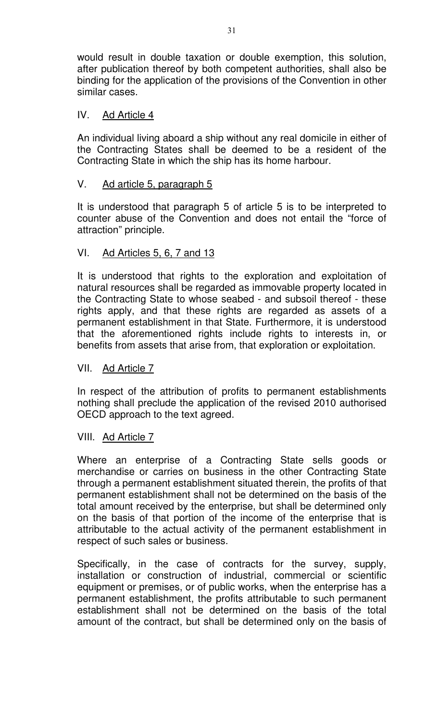would result in double taxation or double exemption, this solution, after publication thereof by both competent authorities, shall also be binding for the application of the provisions of the Convention in other similar cases.

## IV. Ad Article 4

An individual living aboard a ship without any real domicile in either of the Contracting States shall be deemed to be a resident of the Contracting State in which the ship has its home harbour.

## V. Ad article 5, paragraph 5

It is understood that paragraph 5 of article 5 is to be interpreted to counter abuse of the Convention and does not entail the "force of attraction" principle.

## VI. Ad Articles 5, 6, 7 and 13

It is understood that rights to the exploration and exploitation of natural resources shall be regarded as immovable property located in the Contracting State to whose seabed - and subsoil thereof - these rights apply, and that these rights are regarded as assets of a permanent establishment in that State. Furthermore, it is understood that the aforementioned rights include rights to interests in, or benefits from assets that arise from, that exploration or exploitation.

#### VII. Ad Article 7

In respect of the attribution of profits to permanent establishments nothing shall preclude the application of the revised 2010 authorised OECD approach to the text agreed.

#### VIII. Ad Article 7

Where an enterprise of a Contracting State sells goods or merchandise or carries on business in the other Contracting State through a permanent establishment situated therein, the profits of that permanent establishment shall not be determined on the basis of the total amount received by the enterprise, but shall be determined only on the basis of that portion of the income of the enterprise that is attributable to the actual activity of the permanent establishment in respect of such sales or business.

Specifically, in the case of contracts for the survey, supply, installation or construction of industrial, commercial or scientific equipment or premises, or of public works, when the enterprise has a permanent establishment, the profits attributable to such permanent establishment shall not be determined on the basis of the total amount of the contract, but shall be determined only on the basis of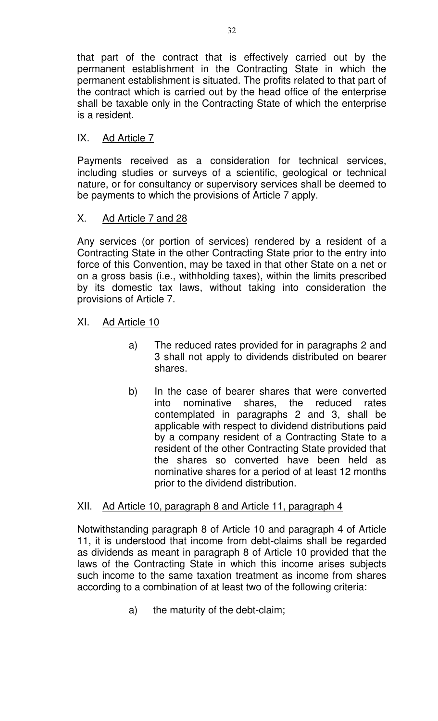that part of the contract that is effectively carried out by the permanent establishment in the Contracting State in which the permanent establishment is situated. The profits related to that part of the contract which is carried out by the head office of the enterprise shall be taxable only in the Contracting State of which the enterprise is a resident.

# IX. Ad Article 7

Payments received as a consideration for technical services, including studies or surveys of a scientific, geological or technical nature, or for consultancy or supervisory services shall be deemed to be payments to which the provisions of Article 7 apply.

# X. Ad Article 7 and 28

Any services (or portion of services) rendered by a resident of a Contracting State in the other Contracting State prior to the entry into force of this Convention, may be taxed in that other State on a net or on a gross basis (i.e., withholding taxes), within the limits prescribed by its domestic tax laws, without taking into consideration the provisions of Article 7.

# XI. Ad Article 10

- a) The reduced rates provided for in paragraphs 2 and 3 shall not apply to dividends distributed on bearer shares.
- b) In the case of bearer shares that were converted into nominative shares, the reduced rates contemplated in paragraphs 2 and 3, shall be applicable with respect to dividend distributions paid by a company resident of a Contracting State to a resident of the other Contracting State provided that the shares so converted have been held as nominative shares for a period of at least 12 months prior to the dividend distribution.

# XII. Ad Article 10, paragraph 8 and Article 11, paragraph 4

Notwithstanding paragraph 8 of Article 10 and paragraph 4 of Article 11, it is understood that income from debt-claims shall be regarded as dividends as meant in paragraph 8 of Article 10 provided that the laws of the Contracting State in which this income arises subjects such income to the same taxation treatment as income from shares according to a combination of at least two of the following criteria:

a) the maturity of the debt-claim;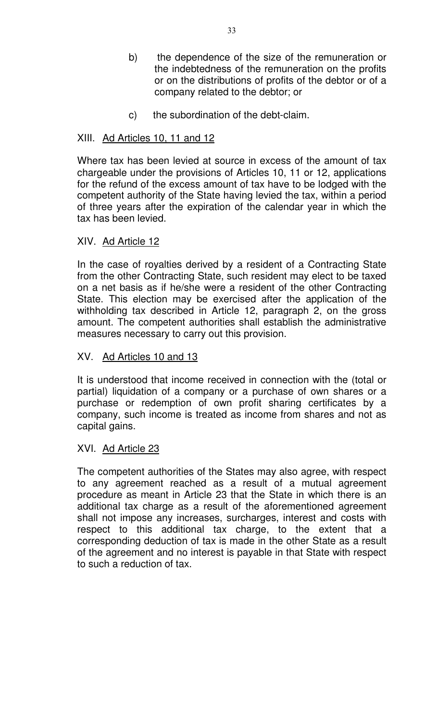- b) the dependence of the size of the remuneration or the indebtedness of the remuneration on the profits or on the distributions of profits of the debtor or of a company related to the debtor; or
- c) the subordination of the debt-claim.

# XIII. Ad Articles 10, 11 and 12

Where tax has been levied at source in excess of the amount of tax chargeable under the provisions of Articles 10, 11 or 12, applications for the refund of the excess amount of tax have to be lodged with the competent authority of the State having levied the tax, within a period of three years after the expiration of the calendar year in which the tax has been levied.

# XIV. Ad Article 12

In the case of royalties derived by a resident of a Contracting State from the other Contracting State, such resident may elect to be taxed on a net basis as if he/she were a resident of the other Contracting State. This election may be exercised after the application of the withholding tax described in Article 12, paragraph 2, on the gross amount. The competent authorities shall establish the administrative measures necessary to carry out this provision.

# XV. Ad Articles 10 and 13

It is understood that income received in connection with the (total or partial) liquidation of a company or a purchase of own shares or a purchase or redemption of own profit sharing certificates by a company, such income is treated as income from shares and not as capital gains.

# XVI. Ad Article 23

The competent authorities of the States may also agree, with respect to any agreement reached as a result of a mutual agreement procedure as meant in Article 23 that the State in which there is an additional tax charge as a result of the aforementioned agreement shall not impose any increases, surcharges, interest and costs with respect to this additional tax charge, to the extent that a corresponding deduction of tax is made in the other State as a result of the agreement and no interest is payable in that State with respect to such a reduction of tax.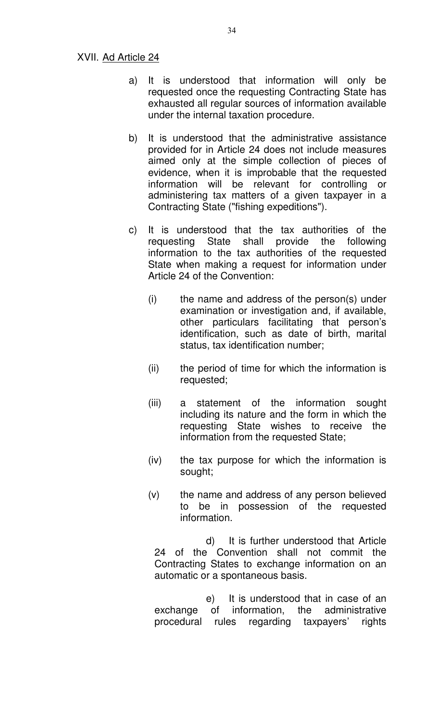#### XVII. Ad Article 24

- a) It is understood that information will only be requested once the requesting Contracting State has exhausted all regular sources of information available under the internal taxation procedure.
- b) It is understood that the administrative assistance provided for in Article 24 does not include measures aimed only at the simple collection of pieces of evidence, when it is improbable that the requested information will be relevant for controlling or administering tax matters of a given taxpayer in a Contracting State ("fishing expeditions").
- c) It is understood that the tax authorities of the requesting State shall provide the following information to the tax authorities of the requested State when making a request for information under Article 24 of the Convention:
	- (i) the name and address of the person(s) under examination or investigation and, if available, other particulars facilitating that person's identification, such as date of birth, marital status, tax identification number;
	- (ii) the period of time for which the information is requested;
	- (iii) a statement of the information sought including its nature and the form in which the requesting State wishes to receive the information from the requested State;
	- (iv) the tax purpose for which the information is sought;
	- (v) the name and address of any person believed to be in possession of the requested information.

d) It is further understood that Article 24 of the Convention shall not commit the Contracting States to exchange information on an automatic or a spontaneous basis.

e) It is understood that in case of an exchange of information, the administrative procedural rules regarding taxpayers' rights